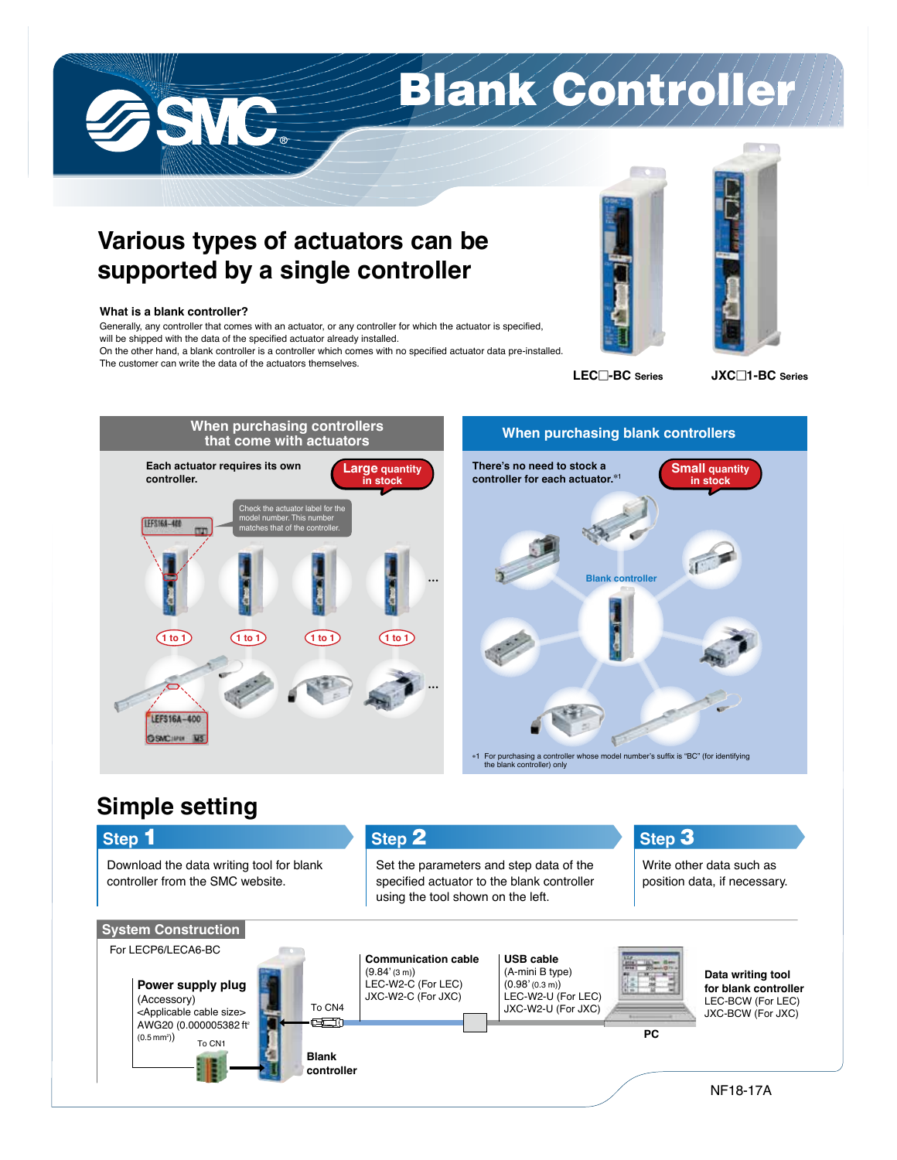

## **Various types of actuators can be supported by a single controller**

## **What is a blank controller?**

SVC.

Generally, any controller that comes with an actuator, or any controller for which the actuator is specified, will be shipped with the data of the specified actuator already installed.

On the other hand, a blank controller is a controller which comes with no specified actuator data pre-installed. The customer can write the data of the actuators themselves.





**LEC -BC Series JXC 1-BC Series**





**the blank controller**<br>the blank controller) only

## **Simple setting**